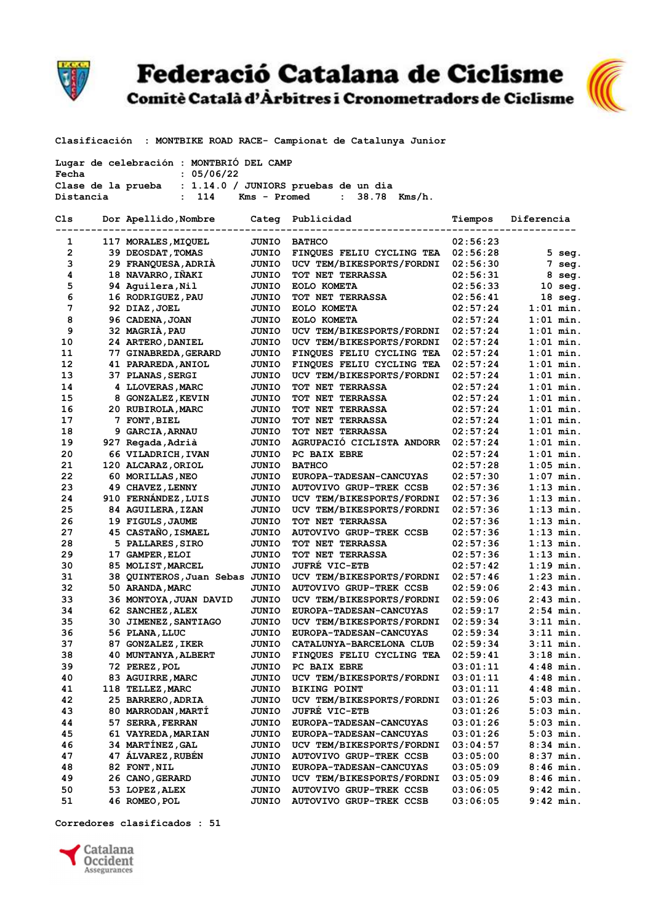

Federació Catalana de Ciclisme<br>Comitè Català d'Àrbitres i Cronometradors de Ciclisme



Clasificación : MONTBIKE ROAD RACE- Campionat de Catalunya Junior

| Lugar de celebración : MONTBRIÓ DEL CAMP<br>: 05/06/22<br>Fecha |  |                                                         |              |                                 |          |                  |
|-----------------------------------------------------------------|--|---------------------------------------------------------|--------------|---------------------------------|----------|------------------|
|                                                                 |  | Clase de la prueba : 1.14.0 / JUNIORS pruebas de un dia |              |                                 |          |                  |
| Distancia                                                       |  | : 114                                                   | Kms - Promed | $\mathbf{r}$<br>38.78<br>Kms/h. |          |                  |
| Cls                                                             |  | Dor Apellido, Nombre                                    |              | Categ Publicidad                | Tiempos  | Diferencia       |
| 1                                                               |  | 117 MORALES, MIQUEL                                     | JUNIO        | <b>BATHCO</b>                   | 02:56:23 |                  |
| $\mathbf{2}$                                                    |  | 39 DEOSDAT, TOMAS                                       | JUNIO        | FINQUES FELIU CYCLING TEA       | 02:56:28 | $5$ seg.         |
| 3                                                               |  | 29 FRANQUESA, ADRIA                                     | JUNIO        | UCV TEM/BIKESPORTS/FORDNI       | 02:56:30 | $7 \text{ seq.}$ |
| 4                                                               |  | 18 NAVARRO, IÑAKI                                       | JUNIO        | <b>TOT NET TERRASSA</b>         | 02:56:31 | 8 seg.           |
| 5                                                               |  | 94 Aquilera, Nil                                        | JUNIO        | EOLO KOMETA                     | 02:56:33 | $10$ seq.        |
| 6                                                               |  | 16 RODRIGUEZ, PAU                                       | <b>JUNIO</b> | <b>TOT NET TERRASSA</b>         | 02:56:41 | $18$ seq.        |
| 7                                                               |  | 92 DIAZ, JOEL                                           | JUNIO        | EOLO KOMETA                     | 02:57:24 | $1:01$ min.      |
| 8                                                               |  | 96 CADENA, JOAN                                         | JUNIO        | EOLO KOMETA                     | 02:57:24 | $1:01$ min.      |
| 9                                                               |  | 32 MAGRIÀ, PAU                                          | JUNIO        | UCV TEM/BIKESPORTS/FORDNI       | 02:57:24 | $1:01$ min.      |
| 10                                                              |  | 24 ARTERO, DANIEL                                       | JUNIO        | UCV TEM/BIKESPORTS/FORDNI       | 02:57:24 | $1:01$ min.      |
| 11                                                              |  | 77 GINABREDA, GERARD                                    | JUNIO        | FINQUES FELIU CYCLING TEA       | 02:57:24 | $1:01$ min.      |
| 12                                                              |  | 41 PARAREDA, ANIOL                                      | JUNIO        | FINQUES FELIU CYCLING TEA       | 02:57:24 | $1:01$ min.      |
| 13                                                              |  | 37 PLANAS, SERGI                                        | JUNIO        | UCV TEM/BIKESPORTS/FORDNI       | 02:57:24 | $1:01$ min.      |
| 14                                                              |  | 4 LLOVERAS, MARC                                        | JUNIO        | <b>TOT NET TERRASSA</b>         | 02:57:24 | $1:01$ min.      |
| 15                                                              |  | 8 GONZALEZ, KEVIN                                       | <b>JUNIO</b> | <b>TOT NET TERRASSA</b>         | 02:57:24 | $1:01$ min.      |
| 16                                                              |  | 20 RUBIROLA, MARC                                       | JUNIO        | <b>TOT NET TERRASSA</b>         | 02:57:24 | $1:01$ min.      |
| 17                                                              |  | 7 FONT, BIEL                                            | <b>JUNIO</b> | TOT NET TERRASSA                | 02:57:24 | $1:01$ min.      |
| 18                                                              |  | 9 GARCIA, ARNAU                                         | JUNIO        | TOT NET TERRASSA                | 02:57:24 | $1:01$ min.      |
| 19                                                              |  | 927 Regada, Adrià                                       | <b>JUNIO</b> | AGRUPACIO CICLISTA ANDORR       | 02:57:24 | $1:01$ min.      |
| 20                                                              |  | 66 VILADRICH, IVAN                                      | JUNIO        | PC BAIX EBRE                    | 02:57:24 | $1:01$ min.      |
| 21                                                              |  | 120 ALCARAZ, ORIOL                                      | JUNIO        | <b>BATHCO</b>                   | 02:57:28 | $1:05$ min.      |
| 22                                                              |  | 60 MORILLAS, NEO                                        | JUNIO        | EUROPA-TADESAN-CANCUYAS         | 02:57:30 | $1:07$ min.      |
| 23                                                              |  | 49 CHAVEZ, LENNY                                        | JUNIO        | <b>AUTOVIVO GRUP-TREK CCSB</b>  | 02:57:36 | $1:13$ min.      |
| 24                                                              |  | 910 FERNÁNDEZ, LUIS                                     | JUNIO        | UCV TEM/BIKESPORTS/FORDNI       | 02:57:36 | $1:13$ min.      |
| 25                                                              |  | 84 AGUILERA, IZAN                                       | JUNIO        | UCV TEM/BIKESPORTS/FORDNI       | 02:57:36 | $1:13$ min.      |
| 26                                                              |  | 19 FIGULS, JAUME                                        | JUNIO        | <b>TOT NET TERRASSA</b>         | 02:57:36 | $1:13$ min.      |
| 27                                                              |  | 45 CASTAÑO, ISMAEL                                      | JUNIO        | <b>AUTOVIVO GRUP-TREK CCSB</b>  | 02:57:36 | $1:13$ min.      |
| 28                                                              |  | 5 PALLARES, SIRO                                        | JUNIO        | <b>TOT NET TERRASSA</b>         | 02:57:36 | $1:13$ min.      |
| 29                                                              |  | 17 GAMPER, ELOI                                         | JUNIO        | <b>TOT NET TERRASSA</b>         | 02:57:36 | $1:13$ min.      |
| 30                                                              |  | 85 MOLIST, MARCEL                                       | JUNIO        | <b>JUFRE VIC-ETB</b>            | 02:57:42 | $1:19$ min.      |
| 31                                                              |  | 38 QUINTEROS, Juan Sebas JUNIO                          |              | UCV TEM/BIKESPORTS/FORDNI       | 02:57:46 | $1:23$ min.      |
| 32                                                              |  | 50 ARANDA, MARC                                         | <b>JUNIO</b> | <b>AUTOVIVO GRUP-TREK CCSB</b>  | 02:59:06 | $2:43$ min.      |
| 33                                                              |  | 36 MONTOYA, JUAN DAVID                                  | JUNIO        | UCV TEM/BIKESPORTS/FORDNI       | 02:59:06 | $2:43$ min.      |
| 34                                                              |  | 62 SANCHEZ, ALEX                                        | JUNIO        | EUROPA-TADESAN-CANCUYAS         | 02:59:17 | $2:54$ min.      |
| 35                                                              |  | 30 JIMENEZ, SANTIAGO                                    | JUNIO        | UCV TEM/BIKESPORTS/FORDNI       | 02:59:34 | $3:11$ min.      |
| 36                                                              |  | 56 PLANA, LLUC                                          | <b>JUNIO</b> | EUROPA-TADESAN-CANCUYAS         | 02:59:34 | $3:11$ min.      |
| 37                                                              |  | 87 GONZALEZ, IKER                                       | <b>JUNIO</b> | CATALUNYA-BARCELONA CLUB        | 02:59:34 | 3:11 min.        |
| 38                                                              |  | <b>40 MUNTANYA, ALBERT</b>                              | JUNIO        | FINQUES FELIU CYCLING TEA       | 02:59:41 | $3:18$ min.      |
| 39                                                              |  | 72 PEREZ, POL                                           | <b>JUNIO</b> | PC BAIX EBRE                    | 03:01:11 | 4:48 min.        |
| 40                                                              |  | 83 AGUIRRE, MARC                                        | <b>JUNIO</b> | UCV TEM/BIKESPORTS/FORDNI       | 03:01:11 | $4:48$ min.      |
| 41                                                              |  | 118 TELLEZ, MARC                                        | <b>JUNIO</b> | <b>BIKING POINT</b>             | 03:01:11 | $4:48$ min.      |
| 42                                                              |  | 25 BARRERO, ADRIA                                       | JUNIO        | UCV TEM/BIKESPORTS/FORDNI       | 03:01:26 | $5:03$ min.      |
| 43                                                              |  | 80 MARRODAN, MARTI                                      | JUNIO        | <b>JUFRE VIC-ETB</b>            | 03:01:26 | $5:03$ min.      |
| 44                                                              |  | 57 SERRA, FERRAN                                        | JUNIO        | EUROPA-TADESAN-CANCUYAS         | 03:01:26 | $5:03$ min.      |
| 45                                                              |  | 61 VAYREDA, MARIAN                                      | JUNIO        | EUROPA-TADESAN-CANCUYAS         | 03:01:26 | $5:03$ min.      |
| 46                                                              |  | 34 MARTINEZ, GAL                                        | JUNIO        | UCV TEM/BIKESPORTS/FORDNI       | 03:04:57 | $8:34$ min.      |
| 47                                                              |  | 47 ÁLVAREZ, RUBÉN                                       | JUNIO        | <b>AUTOVIVO GRUP-TREK CCSB</b>  | 03:05:00 | $8:37$ min.      |
| 48                                                              |  | 82 FONT, NIL                                            | JUNIO        | EUROPA-TADESAN-CANCUYAS         | 03:05:09 | $8:46$ min.      |
| 49                                                              |  | 26 CANO, GERARD                                         | <b>JUNIO</b> | UCV TEM/BIKESPORTS/FORDNI       | 03:05:09 | 8:46 min.        |
| 50                                                              |  | 53 LOPEZ, ALEX                                          | <b>JUNIO</b> | <b>AUTOVIVO GRUP-TREK CCSB</b>  | 03:06:05 | 9:42 min.        |
| 51                                                              |  | 46 ROMEO, POL                                           | JUNIO        | <b>AUTOVIVO GRUP-TREK CCSB</b>  | 03:06:05 | 9:42 min.        |

Corredores clasificados : 51